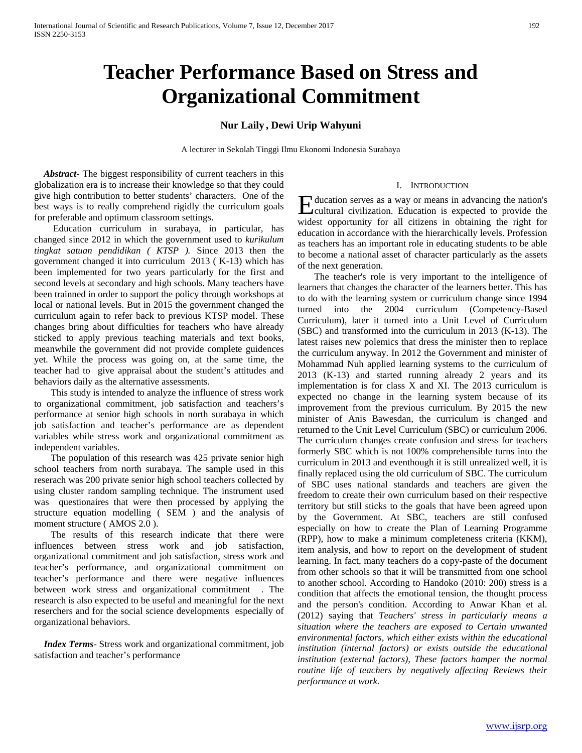# **Teacher Performance Based on Stress and Organizational Commitment**

# **Nur Laily , Dewi Urip Wahyuni**

A lecturer in Sekolah Tinggi Ilmu Ekonomi Indonesia Surabaya

 *Abstract***-** The biggest responsibility of current teachers in this globalization era is to increase their knowledge so that they could give high contribution to better students' characters. One of the best ways is to really comprehend rigidly the curriculum goals for preferable and optimum classroom settings.

 Education curriculum in surabaya, in particular, has changed since 2012 in which the government used to *kurikulum tingkat satuan pendidikan ( KTSP ).* Since 2013 then the government changed it into curriculum 2013 ( K-13) which has been implemented for two years particularly for the first and second levels at secondary and high schools. Many teachers have been trainned in order to support the policy through workshops at local or national levels. But in 2015 the government changed the curriculum again to refer back to previous KTSP model. These changes bring about difficulties for teachers who have already sticked to apply previous teaching materials and text books, meanwhile the government did not provide complete guidences yet. While the process was going on, at the same time, the teacher had to give appraisal about the student's attitudes and behaviors daily as the alternative assessments.

 This study is intended to analyze the influence of stress work to organizational commitment, job satisfaction and teachers's performance at senior high schools in north surabaya in which job satisfaction and teacher's performance are as dependent variables while stress work and organizational commitment as independent variables.

 The population of this research was 425 private senior high school teachers from north surabaya. The sample used in this reserach was 200 private senior high school teachers collected by using cluster random sampling technique. The instrument used was questionaires that were then processed by applying the structure equation modelling ( SEM ) and the analysis of moment structure (AMOS 2.0).

 The results of this research indicate that there were influences between stress work and job satisfaction, organizational commitment and job satisfaction, stress work and teacher's performance, and organizational commitment on teacher's performance and there were negative influences between work stress and organizational commitment . The research is also expected to be useful and meaningful for the next reserchers and for the social science developments especially of organizational behaviors.

 *Index Terms*- Stress work and organizational commitment, job satisfaction and teacher's performance

#### I. INTRODUCTION

ducation serves as a way or means in advancing the nation's Education serves as a way or means in advancing the nation's<br>cultural civilization. Education is expected to provide the widest opportunity for all citizens in obtaining the right for education in accordance with the hierarchically levels. Profession as teachers has an important role in educating students to be able to become a national asset of character particularly as the assets of the next generation.

 The teacher's role is very important to the intelligence of learners that changes the character of the learners better. This has to do with the learning system or curriculum change since 1994 turned into the 2004 curriculum (Competency-Based Curriculum), later it turned into a Unit Level of Curriculum (SBC) and transformed into the curriculum in 2013 (K-13). The latest raises new polemics that dress the minister then to replace the curriculum anyway. In 2012 the Government and minister of Mohammad Nuh applied learning systems to the curriculum of 2013 (K-13) and started running already 2 years and its implementation is for class X and XI. The 2013 curriculum is expected no change in the learning system because of its improvement from the previous curriculum. By 2015 the new minister of Anis Bawesdan, the curriculum is changed and returned to the Unit Level Curriculum (SBC) or curriculum 2006. The curriculum changes create confusion and stress for teachers formerly SBC which is not 100% comprehensible turns into the curriculum in 2013 and eventhough it is still unrealized well, it is finally replaced using the old curriculum of SBC. The curriculum of SBC uses national standards and teachers are given the freedom to create their own curriculum based on their respective territory but still sticks to the goals that have been agreed upon by the Government. At SBC, teachers are still confused especially on how to create the Plan of Learning Programme (RPP), how to make a minimum completeness criteria (KKM), item analysis, and how to report on the development of student learning. In fact, many teachers do a copy-paste of the document from other schools so that it will be transmitted from one school to another school. According to Handoko (2010: 200) stress is a condition that affects the emotional tension, the thought process and the person's condition. According to Anwar Khan et al. (2012) saying that *Teachers' stress in particularly means a situation where the teachers are exposed to Certain unwanted environmental factors, which either exists within the educational institution (internal factors) or exists outside the educational institution (external factors), These factors hamper the normal routine life of teachers by negatively affecting Reviews their performance at work.*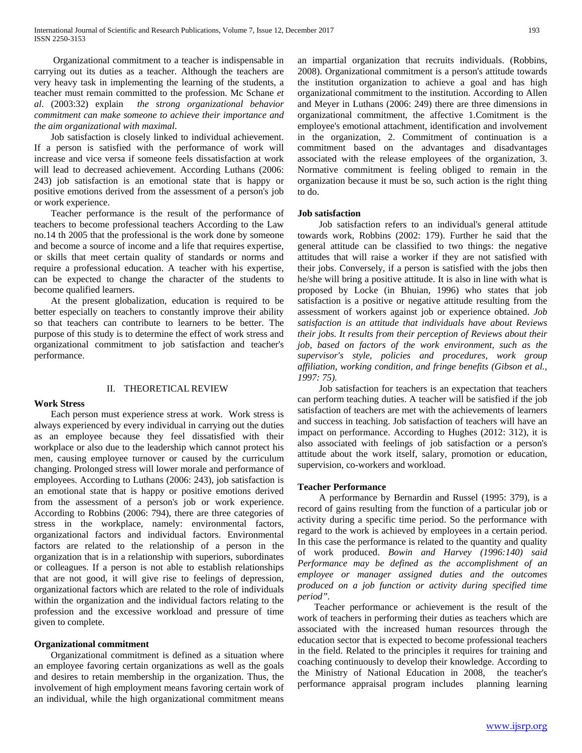Organizational commitment to a teacher is indispensable in carrying out its duties as a teacher. Although the teachers are very heavy task in implementing the learning of the students, a teacher must remain committed to the profession. Mc Schane *et al*. (2003:32) explain *the strong organizational behavior commitment can make someone to achieve their importance and the aim organizational with maximal*.

 Job satisfaction is closely linked to individual achievement. If a person is satisfied with the performance of work will increase and vice versa if someone feels dissatisfaction at work will lead to decreased achievement. According Luthans (2006: 243) job satisfaction is an emotional state that is happy or positive emotions derived from the assessment of a person's job or work experience.

 Teacher performance is the result of the performance of teachers to become professional teachers According to the Law no.14 th 2005 that the professional is the work done by someone and become a source of income and a life that requires expertise, or skills that meet certain quality of standards or norms and require a professional education. A teacher with his expertise, can be expected to change the character of the students to become qualified learners.

 At the present globalization, education is required to be better especially on teachers to constantly improve their ability so that teachers can contribute to learners to be better. The purpose of this study is to determine the effect of work stress and organizational commitment to job satisfaction and teacher's performance.

# II. THEORETICAL REVIEW

#### **Work Stress**

Each person must experience stress at work. Work stress is always experienced by every individual in carrying out the duties as an employee because they feel dissatisfied with their workplace or also due to the leadership which cannot protect his men, causing employee turnover or caused by the curriculum changing. Prolonged stress will lower morale and performance of employees. According to Luthans (2006: 243), job satisfaction is an emotional state that is happy or positive emotions derived from the assessment of a person's job or work experience. According to Robbins (2006: 794), there are three categories of stress in the workplace, namely: environmental factors, organizational factors and individual factors. Environmental factors are related to the relationship of a person in the organization that is in a relationship with superiors, subordinates or colleagues. If a person is not able to establish relationships that are not good, it will give rise to feelings of depression, organizational factors which are related to the role of individuals within the organization and the individual factors relating to the profession and the excessive workload and pressure of time given to complete.

# **Organizational commitment**

 Organizational commitment is defined as a situation where an employee favoring certain organizations as well as the goals and desires to retain membership in the organization. Thus, the involvement of high employment means favoring certain work of an individual, while the high organizational commitment means

an impartial organization that recruits individuals. (Robbins, 2008). Organizational commitment is a person's attitude towards the institution organization to achieve a goal and has high organizational commitment to the institution. According to Allen and Meyer in Luthans (2006: 249) there are three dimensions in organizational commitment, the affective 1.Comitment is the employee's emotional attachment, identification and involvement in the organization, 2. Commitment of continuation is a commitment based on the advantages and disadvantages associated with the release employees of the organization, 3. Normative commitment is feeling obliged to remain in the organization because it must be so, such action is the right thing to do.

## **Job satisfaction**

 Job satisfaction refers to an individual's general attitude towards work, Robbins (2002: 179). Further he said that the general attitude can be classified to two things: the negative attitudes that will raise a worker if they are not satisfied with their jobs. Conversely, if a person is satisfied with the jobs then he/she will bring a positive attitude. It is also in line with what is proposed by Locke (in Bhuian, 1996) who states that job satisfaction is a positive or negative attitude resulting from the assessment of workers against job or experience obtained. *Job satisfaction is an attitude that individuals have about Reviews their jobs. It results from their perception of Reviews about their job, based on factors of the work environment, such as the supervisor's style, policies and procedures, work group affiliation, working condition, and fringe benefits (Gibson et al., 1997: 75).*

 Job satisfaction for teachers is an expectation that teachers can perform teaching duties. A teacher will be satisfied if the job satisfaction of teachers are met with the achievements of learners and success in teaching. Job satisfaction of teachers will have an impact on performance. According to Hughes (2012: 312), it is also associated with feelings of job satisfaction or a person's attitude about the work itself, salary, promotion or education, supervision, co-workers and workload.

#### **Teacher Performance**

 A performance by Bernardin and Russel (1995: 379), is a record of gains resulting from the function of a particular job or activity during a specific time period. So the performance with regard to the work is achieved by employees in a certain period. In this case the performance is related to the quantity and quality of work produced. *Bowin and Harvey (1996:140) said Performance may be defined as the accomplishment of an employee or manager assigned duties and the outcomes produced on a job function or activity during specified time period".* 

Teacher performance or achievement is the result of the work of teachers in performing their duties as teachers which are associated with the increased human resources through the education sector that is expected to become professional teachers in the field. Related to the principles it requires for training and coaching continuously to develop their knowledge. According to the Ministry of National Education in 2008, the teacher's performance appraisal program includes planning learning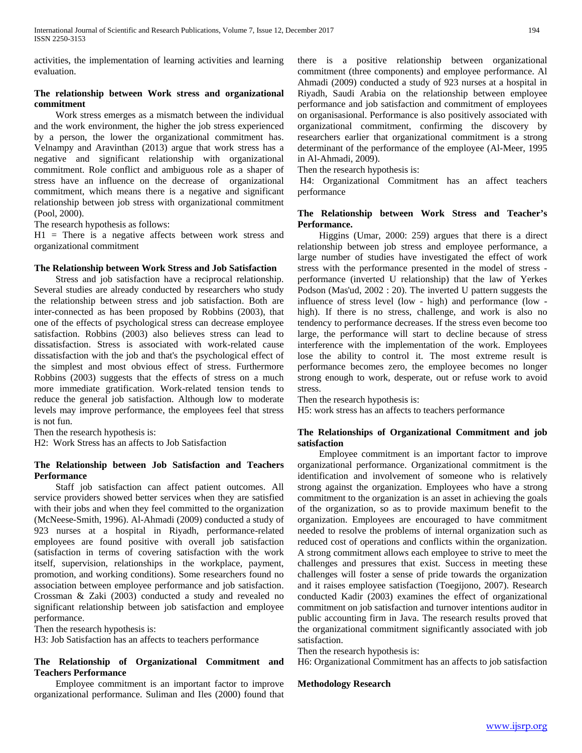activities, the implementation of learning activities and learning evaluation.

# **The relationship between Work stress and organizational commitment**

 Work stress emerges as a mismatch between the individual and the work environment, the higher the job stress experienced by a person, the lower the organizational commitment has. Velnampy and Aravinthan (2013) argue that work stress has a negative and significant relationship with organizational commitment. Role conflict and ambiguous role as a shaper of stress have an influence on the decrease of organizational commitment, which means there is a negative and significant relationship between job stress with organizational commitment (Pool, 2000).

The research hypothesis as follows:

 $H1$  = There is a negative affects between work stress and organizational commitment

## **The Relationship between Work Stress and Job Satisfaction**

 Stress and job satisfaction have a reciprocal relationship. Several studies are already conducted by researchers who study the relationship between stress and job satisfaction. Both are inter-connected as has been proposed by Robbins (2003), that one of the effects of psychological stress can decrease employee satisfaction. Robbins (2003) also believes stress can lead to dissatisfaction. Stress is associated with work-related cause dissatisfaction with the job and that's the psychological effect of the simplest and most obvious effect of stress. Furthermore Robbins (2003) suggests that the effects of stress on a much more immediate gratification. Work-related tension tends to reduce the general job satisfaction. Although low to moderate levels may improve performance, the employees feel that stress is not fun.

Then the research hypothesis is:

H2: Work Stress has an affects to Job Satisfaction

# **The Relationship between Job Satisfaction and Teachers Performance**

 Staff job satisfaction can affect patient outcomes. All service providers showed better services when they are satisfied with their jobs and when they feel committed to the organization (McNeese-Smith, 1996). Al-Ahmadi (2009) conducted a study of 923 nurses at a hospital in Riyadh, performance-related employees are found positive with overall job satisfaction (satisfaction in terms of covering satisfaction with the work itself, supervision, relationships in the workplace, payment, promotion, and working conditions). Some researchers found no association between employee performance and job satisfaction. Crossman & Zaki (2003) conducted a study and revealed no significant relationship between job satisfaction and employee performance.

Then the research hypothesis is:

H3: Job Satisfaction has an affects to teachers performance

# **The Relationship of Organizational Commitment and Teachers Performance**

 Employee commitment is an important factor to improve organizational performance. Suliman and Iles (2000) found that there is a positive relationship between organizational commitment (three components) and employee performance. Al Ahmadi (2009) conducted a study of 923 nurses at a hospital in Riyadh, Saudi Arabia on the relationship between employee performance and job satisfaction and commitment of employees on organisasional. Performance is also positively associated with organizational commitment, confirming the discovery by researchers earlier that organizational commitment is a strong determinant of the performance of the employee (Al-Meer, 1995 in Al-Ahmadi, 2009).

Then the research hypothesis is:

H4: Organizational Commitment has an affect teachers performance

# **The Relationship between Work Stress and Teacher's Performance.**

 Higgins (Umar, 2000: 259) argues that there is a direct relationship between job stress and employee performance, a large number of studies have investigated the effect of work stress with the performance presented in the model of stress performance (inverted U relationship) that the law of Yerkes Podson (Mas'ud, 2002 : 20). The inverted U pattern suggests the influence of stress level (low - high) and performance (low high). If there is no stress, challenge, and work is also no tendency to performance decreases. If the stress even become too large, the performance will start to decline because of stress interference with the implementation of the work. Employees lose the ability to control it. The most extreme result is performance becomes zero, the employee becomes no longer strong enough to work, desperate, out or refuse work to avoid stress.

Then the research hypothesis is: H5: work stress has an affects to teachers performance

# **The Relationships of Organizational Commitment and job satisfaction**

 Employee commitment is an important factor to improve organizational performance. Organizational commitment is the identification and involvement of someone who is relatively strong against the organization. Employees who have a strong commitment to the organization is an asset in achieving the goals of the organization, so as to provide maximum benefit to the organization. Employees are encouraged to have commitment needed to resolve the problems of internal organization such as reduced cost of operations and conflicts within the organization. A strong commitment allows each employee to strive to meet the challenges and pressures that exist. Success in meeting these challenges will foster a sense of pride towards the organization and it raises employee satisfaction (Toegijono, 2007). Research conducted Kadir (2003) examines the effect of organizational commitment on job satisfaction and turnover intentions auditor in public accounting firm in Java. The research results proved that the organizational commitment significantly associated with job satisfaction.

Then the research hypothesis is:

H6: Organizational Commitment has an affects to job satisfaction

#### **Methodology Research**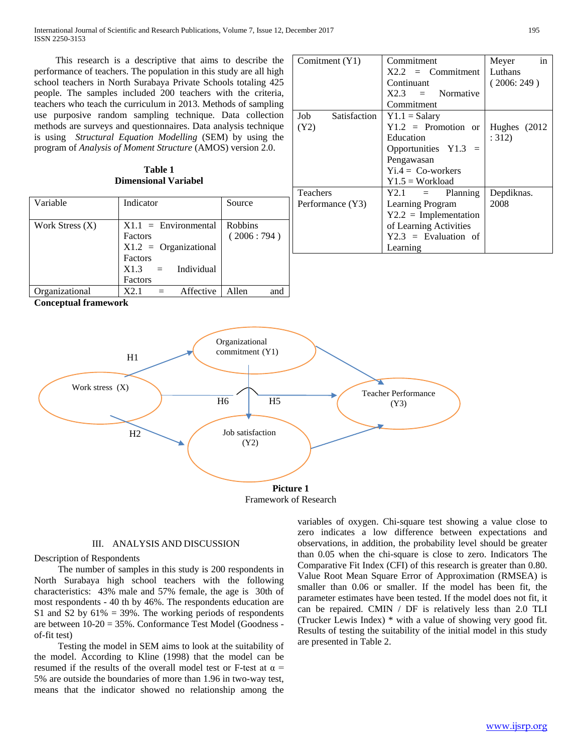International Journal of Scientific and Research Publications, Volume 7, Issue 12, December 2017 195 ISSN 2250-3153

 This research is a descriptive that aims to describe the performance of teachers. The population in this study are all high school teachers in North Surabaya Private Schools totaling 425 people. The samples included 200 teachers with the criteria, teachers who teach the curriculum in 2013. Methods of sampling use purposive random sampling technique. Data collection methods are surveys and questionnaires. Data analysis technique is using *Structural Equation Modelling* (SEM) by using the program of *Analysis of Moment Structure* (AMOS) version 2.0.

| Table 1                     |  |  |  |  |
|-----------------------------|--|--|--|--|
| <b>Dimensional Variabel</b> |  |  |  |  |

| Variable          | Indicator               | Source         | F |
|-------------------|-------------------------|----------------|---|
|                   |                         |                |   |
| Work Stress $(X)$ | $X1.1 = Environmental$  | <b>Robbins</b> |   |
|                   | Factors                 | (2006:794)     |   |
|                   | $X1.2 = Organizational$ |                |   |
|                   | Factors                 |                |   |
|                   | $X1.3 =$ Individual     |                |   |
|                   | Factors                 |                |   |
| Organizational    | X2 1<br>Affective       | Allen<br>and   |   |

**Conceptual framework**





Framework of Research

# III. ANALYSIS AND DISCUSSION

## Description of Respondents

 The number of samples in this study is 200 respondents in North Surabaya high school teachers with the following characteristics: 43% male and 57% female, the age is 30th of most respondents - 40 th by 46%. The respondents education are S1 and S2 by  $61\% = 39\%$ . The working periods of respondents are between 10-20 = 35%. Conformance Test Model (Goodness of-fit test)

 Testing the model in SEM aims to look at the suitability of the model. According to Kline (1998) that the model can be resumed if the results of the overall model test or F-test at  $\alpha$  = 5% are outside the boundaries of more than 1.96 in two-way test, means that the indicator showed no relationship among the variables of oxygen. Chi-square test showing a value close to zero indicates a low difference between expectations and observations, in addition, the probability level should be greater than 0.05 when the chi-square is close to zero. Indicators The Comparative Fit Index (CFI) of this research is greater than 0.80. Value Root Mean Square Error of Approximation (RMSEA) is smaller than 0.06 or smaller. If the model has been fit, the parameter estimates have been tested. If the model does not fit, it can be repaired. CMIN / DF is relatively less than 2.0 TLI (Trucker Lewis Index) \* with a value of showing very good fit. Results of testing the suitability of the initial model in this study are presented in Table 2.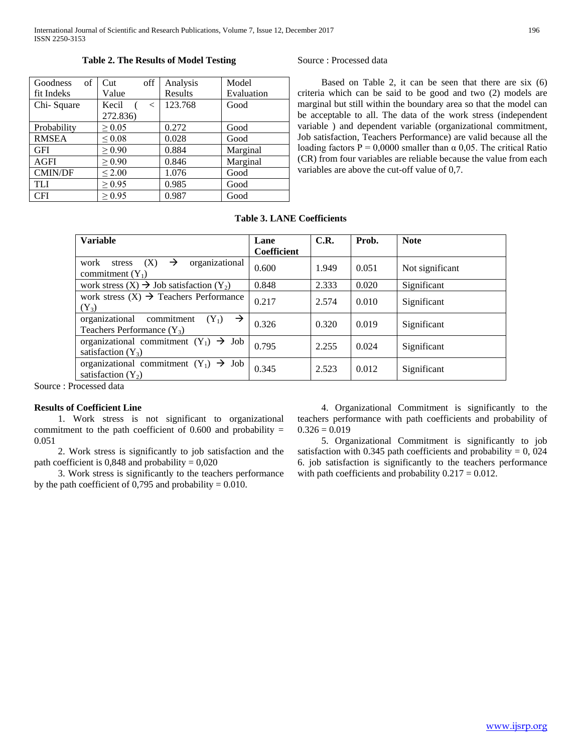#### Goodness of fit Indeks Cut off Value Analysis Results Model Evaluation Chi- Square | Kecil ( < 272.836) 123.768 Good Probability  $| \geq 0.05$  | 0.272 | Good RMSEA  $\leq 0.08$  0.028 Good GFI  $\geq 0.90$  0.884 Marginal  $AGFI$   $\geq 0.90$  0.846 Marginal CMIN/DF  $\vert \leq 2.00$   $\vert$  1.076  $\vert$  Good TLI  $\geq 0.95$  0.985 Good  $CFI$   $>0.95$   $0.987$  Good

# **Table 2. The Results of Model Testing**

Source : Processed data

 Based on Table 2, it can be seen that there are six (6) criteria which can be said to be good and two (2) models are marginal but still within the boundary area so that the model can be acceptable to all. The data of the work stress (independent variable ) and dependent variable (organizational commitment, Job satisfaction, Teachers Performance) are valid because all the loading factors  $P = 0,0000$  smaller than  $\alpha$  0.05. The critical Ratio (CR) from four variables are reliable because the value from each variables are above the cut-off value of 0,7.

# **Table 3. LANE Coefficients**

| <b>Variable</b>                                                                          | Lane<br>Coefficient | C.R.  | Prob. | <b>Note</b>     |
|------------------------------------------------------------------------------------------|---------------------|-------|-------|-----------------|
| organizational<br>work<br>$\rightarrow$<br>stress<br>(X)<br>commitment $(Y_1)$           | 0.600               | 1.949 | 0.051 | Not significant |
| work stress $(X) \rightarrow$ Job satisfaction $(Y_2)$                                   | 0.848               | 2.333 | 0.020 | Significant     |
| work stress $(X) \rightarrow$ Teachers Performance<br>$(Y_3)$                            | 0.217               | 2.574 | 0.010 | Significant     |
| organizational<br>$\rightarrow$<br>commitment<br>$(Y_1)$<br>Teachers Performance $(Y_3)$ | 0.326               | 0.320 | 0.019 | Significant     |
| organizational commitment $(Y_1) \rightarrow$ Job<br>satisfaction $(Y_3)$                | 0.795               | 2.255 | 0.024 | Significant     |
| organizational commitment $(Y_1) \rightarrow Job$<br>satisfaction $(Y_2)$                | 0.345               | 2.523 | 0.012 | Significant     |

Source : Processed data

# **Results of Coefficient Line**

 1. Work stress is not significant to organizational commitment to the path coefficient of  $0.600$  and probability = 0.051

 2. Work stress is significantly to job satisfaction and the path coefficient is  $0,848$  and probability =  $0,020$ 

 3. Work stress is significantly to the teachers performance by the path coefficient of 0,795 and probability  $= 0.010$ .

 4. Organizational Commitment is significantly to the teachers performance with path coefficients and probability of  $0.326 = 0.019$ 

 5. Organizational Commitment is significantly to job satisfaction with 0.345 path coefficients and probability  $= 0$ , 024 6. job satisfaction is significantly to the teachers performance with path coefficients and probability  $0.217 = 0.012$ .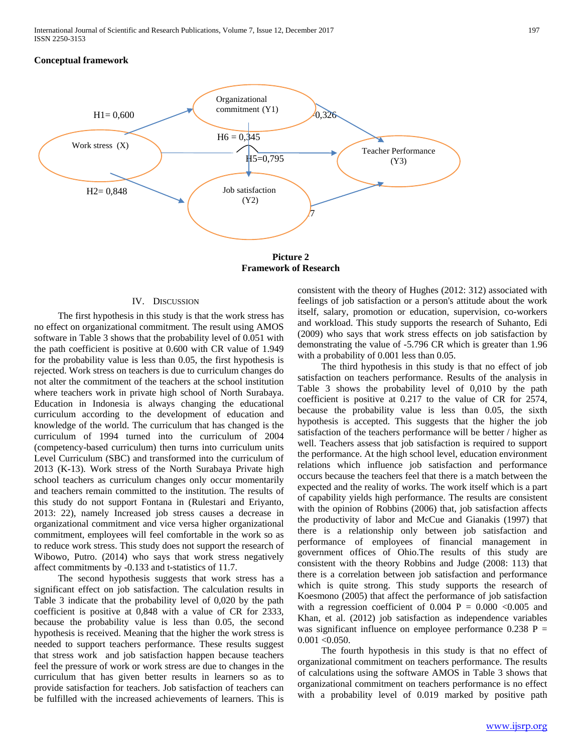# **Conceptual framework**



**Picture 2 Framework of Research**

#### IV. DISCUSSION

 The first hypothesis in this study is that the work stress has no effect on organizational commitment. The result using AMOS software in Table 3 shows that the probability level of 0.051 with the path coefficient is positive at 0.600 with CR value of 1.949 for the probability value is less than 0.05, the first hypothesis is rejected. Work stress on teachers is due to curriculum changes do not alter the commitment of the teachers at the school institution where teachers work in private high school of North Surabaya. Education in Indonesia is always changing the educational curriculum according to the development of education and knowledge of the world. The curriculum that has changed is the curriculum of 1994 turned into the curriculum of 2004 (competency-based curriculum) then turns into curriculum units Level Curriculum (SBC) and transformed into the curriculum of 2013 (K-13). Work stress of the North Surabaya Private high school teachers as curriculum changes only occur momentarily and teachers remain committed to the institution. The results of this study do not support Fontana in (Rulestari and Eriyanto, 2013: 22), namely Increased job stress causes a decrease in organizational commitment and vice versa higher organizational commitment, employees will feel comfortable in the work so as to reduce work stress. This study does not support the research of Wibowo, Putro. (2014) who says that work stress negatively affect commitments by -0.133 and t-statistics of 11.7.

 The second hypothesis suggests that work stress has a significant effect on job satisfaction. The calculation results in Table 3 indicate that the probability level of 0,020 by the path coefficient is positive at 0,848 with a value of CR for 2333, because the probability value is less than 0.05, the second hypothesis is received. Meaning that the higher the work stress is needed to support teachers performance. These results suggest that stress work and job satisfaction happen because teachers feel the pressure of work or work stress are due to changes in the curriculum that has given better results in learners so as to provide satisfaction for teachers. Job satisfaction of teachers can be fulfilled with the increased achievements of learners. This is

consistent with the theory of Hughes (2012: 312) associated with feelings of job satisfaction or a person's attitude about the work itself, salary, promotion or education, supervision, co-workers and workload. This study supports the research of Suhanto, Edi (2009) who says that work stress effects on job satisfaction by demonstrating the value of -5.796 CR which is greater than 1.96 with a probability of 0.001 less than 0.05.

 The third hypothesis in this study is that no effect of job satisfaction on teachers performance. Results of the analysis in Table 3 shows the probability level of 0,010 by the path coefficient is positive at 0.217 to the value of CR for 2574, because the probability value is less than 0.05, the sixth hypothesis is accepted. This suggests that the higher the job satisfaction of the teachers performance will be better / higher as well. Teachers assess that job satisfaction is required to support the performance. At the high school level, education environment relations which influence job satisfaction and performance occurs because the teachers feel that there is a match between the expected and the reality of works. The work itself which is a part of capability yields high performance. The results are consistent with the opinion of Robbins (2006) that, job satisfaction affects the productivity of labor and McCue and Gianakis (1997) that there is a relationship only between job satisfaction and performance of employees of financial management in government offices of Ohio.The results of this study are consistent with the theory Robbins and Judge (2008: 113) that there is a correlation between job satisfaction and performance which is quite strong. This study supports the research of Koesmono (2005) that affect the performance of job satisfaction with a regression coefficient of  $0.004$  P =  $0.000$  <0.005 and Khan, et al. (2012) job satisfaction as independence variables was significant influence on employee performance  $0.238$  P =  $0.001 < 0.050$ .

 The fourth hypothesis in this study is that no effect of organizational commitment on teachers performance. The results of calculations using the software AMOS in Table 3 shows that organizational commitment on teachers performance is no effect with a probability level of 0.019 marked by positive path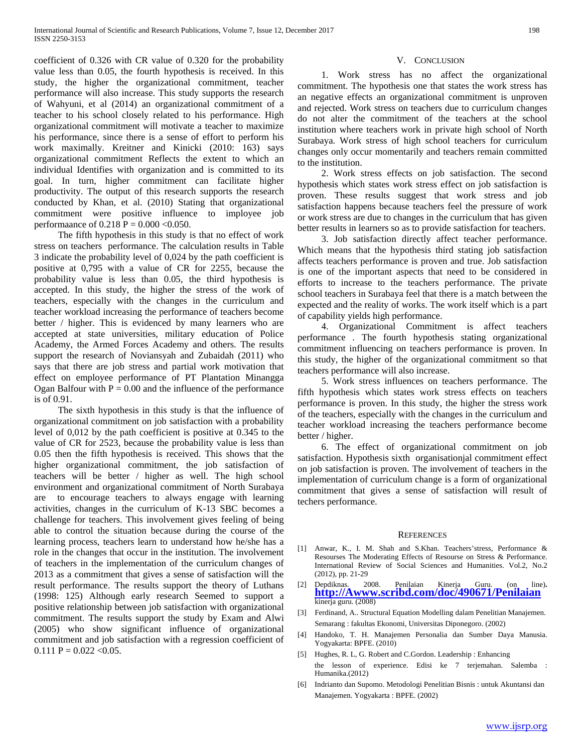coefficient of 0.326 with CR value of 0.320 for the probability value less than 0.05, the fourth hypothesis is received. In this study, the higher the organizational commitment, teacher performance will also increase. This study supports the research of Wahyuni, et al (2014) an organizational commitment of a teacher to his school closely related to his performance. High organizational commitment will motivate a teacher to maximize his performance, since there is a sense of effort to perform his work maximally. Kreitner and Kinicki (2010: 163) says organizational commitment Reflects the extent to which an individual Identifies with organization and is committed to its goal. In turn, higher commitment can facilitate higher productivity. The output of this research supports the research conducted by Khan, et al. (2010) Stating that organizational commitment were positive influence to imployee job performaance of  $0.218$  P =  $0.000$  < 0.050.

 The fifth hypothesis in this study is that no effect of work stress on teachers performance. The calculation results in Table 3 indicate the probability level of 0,024 by the path coefficient is positive at 0,795 with a value of CR for 2255, because the probability value is less than 0.05, the third hypothesis is accepted. In this study, the higher the stress of the work of teachers, especially with the changes in the curriculum and teacher workload increasing the performance of teachers become better / higher. This is evidenced by many learners who are accepted at state universities, military education of Police Academy, the Armed Forces Academy and others. The results support the research of Noviansyah and Zubaidah (2011) who says that there are job stress and partial work motivation that effect on employee performance of PT Plantation Minangga Ogan Balfour with  $P = 0.00$  and the influence of the performance is of 0.91.

 The sixth hypothesis in this study is that the influence of organizational commitment on job satisfaction with a probability level of 0,012 by the path coefficient is positive at 0.345 to the value of CR for 2523, because the probability value is less than 0.05 then the fifth hypothesis is received. This shows that the higher organizational commitment, the job satisfaction of teachers will be better / higher as well. The high school environment and organizational commitment of North Surabaya are to encourage teachers to always engage with learning activities, changes in the curriculum of K-13 SBC becomes a challenge for teachers. This involvement gives feeling of being able to control the situation because during the course of the learning process, teachers learn to understand how he/she has a role in the changes that occur in the institution. The involvement of teachers in the implementation of the curriculum changes of 2013 as a commitment that gives a sense of satisfaction will the result performance. The results support the theory of Luthans (1998: 125) Although early research Seemed to support a positive relationship between job satisfaction with organizational commitment. The results support the study by Exam and Alwi (2005) who show significant influence of organizational commitment and job satisfaction with a regression coefficient of  $0.111$  P =  $0.022$  < 0.05.

## V. CONCLUSION

 1. Work stress has no affect the organizational commitment. The hypothesis one that states the work stress has an negative effects an organizational commitment is unproven and rejected. Work stress on teachers due to curriculum changes do not alter the commitment of the teachers at the school institution where teachers work in private high school of North Surabaya. Work stress of high school teachers for curriculum changes only occur momentarily and teachers remain committed to the institution.

 2. Work stress effects on job satisfaction. The second hypothesis which states work stress effect on job satisfaction is proven. These results suggest that work stress and job satisfaction happens because teachers feel the pressure of work or work stress are due to changes in the curriculum that has given better results in learners so as to provide satisfaction for teachers.

 3. Job satisfaction directly affect teacher performance. Which means that the hypothesis third stating job satisfaction affects teachers performance is proven and true. Job satisfaction is one of the important aspects that need to be considered in efforts to increase to the teachers performance. The private school teachers in Surabaya feel that there is a match between the expected and the reality of works. The work itself which is a part of capability yields high performance.

 4. Organizational Commitment is affect teachers performance . The fourth hypothesis stating organizational commitment influencing on teachers performance is proven. In this study, the higher of the organizational commitment so that teachers performance will also increase.

 5. Work stress influences on teachers performance. The fifth hypothesis which states work stress effects on teachers performance is proven. In this study, the higher the stress work of the teachers, especially with the changes in the curriculum and teacher workload increasing the teachers performance become better / higher.

 6. The effect of organizational commitment on job satisfaction. Hypothesis sixth organisationjal commitment effect on job satisfaction is proven. The involvement of teachers in the implementation of curriculum change is a form of organizational commitment that gives a sense of satisfaction will result of techers performance.

#### **REFERENCES**

- [1] Anwar, K., I. M. Shah and S.Khan. Teachers'stress, Performance & Resourses The Moderating Effects of Resourse on Stress & Performance. International Review of Social Sciences and Humanities. Vol.2, No.2 (2012), pp. 21-29
- [2] Depdiknas. 2008. Penilaian Kinerja Guru. (on line)**. [http://Awww.scribd.com/doc/490671/Penilaian](http://awww.scribd.com/doc/490671/Penilaian)** kinerja guru. (2008)
- [3] Ferdinand, A.. Structural Equation Modelling dalam Penelitian Manajemen. Semarang : fakultas Ekonomi, Universitas Diponegoro. (2002)
- [4] Handoko, T. H. Manajemen Personalia dan Sumber Daya Manusia. Yogyakarta: BPFE. (2010)
- [5] Hughes, R. L, G. Robert and C.Gordon. Leadership : Enhancing the lesson of experience. Edisi ke 7 terjemahan. Salemba : Humanika.(2012)
- [6] Indrianto dan Supomo. Metodologi Penelitian Bisnis : untuk Akuntansi dan Manajemen. Yogyakarta : BPFE. (2002)